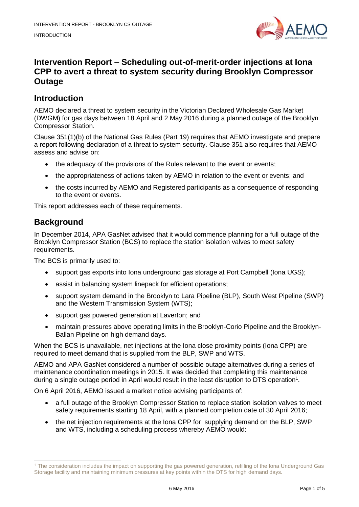INTRODUCTION



# **Intervention Report – Scheduling out-of-merit-order injections at Iona CPP to avert a threat to system security during Brooklyn Compressor Outage**

### **Introduction**

AEMO declared a threat to system security in the Victorian Declared Wholesale Gas Market (DWGM) for gas days between 18 April and 2 May 2016 during a planned outage of the Brooklyn Compressor Station.

Clause 351(1)(b) of the National Gas Rules (Part 19) requires that AEMO investigate and prepare a report following declaration of a threat to system security. Clause 351 also requires that AEMO assess and advise on:

- the adequacy of the provisions of the Rules relevant to the event or events;
- the appropriateness of actions taken by AEMO in relation to the event or events; and
- the costs incurred by AEMO and Registered participants as a consequence of responding to the event or events.

This report addresses each of these requirements.

## **Background**

-

In December 2014, APA GasNet advised that it would commence planning for a full outage of the Brooklyn Compressor Station (BCS) to replace the station isolation valves to meet safety requirements.

The BCS is primarily used to:

- support gas exports into Iona underground gas storage at Port Campbell (Iona UGS);
- assist in balancing system linepack for efficient operations;
- support system demand in the Brooklyn to Lara Pipeline (BLP), South West Pipeline (SWP) and the Western Transmission System (WTS);
- support gas powered generation at Laverton; and
- maintain pressures above operating limits in the Brooklyn-Corio Pipeline and the Brooklyn-Ballan Pipeline on high demand days.

When the BCS is unavailable, net injections at the Iona close proximity points (Iona CPP) are required to meet demand that is supplied from the BLP, SWP and WTS.

AEMO and APA GasNet considered a number of possible outage alternatives during a series of maintenance coordination meetings in 2015. It was decided that completing this maintenance during a single outage period in April would result in the least disruption to DTS operation<sup>1</sup>.

On 6 April 2016, AEMO issued a market notice advising participants of:

- a full outage of the Brooklyn Compressor Station to replace station isolation valves to meet safety requirements starting 18 April, with a planned completion date of 30 April 2016;
- the net injection requirements at the Iona CPP for supplying demand on the BLP, SWP and WTS, including a scheduling process whereby AEMO would:

<sup>1</sup> The consideration includes the impact on supporting the gas powered generation, refilling of the Iona Underground Gas Storage facility and maintaining minimum pressures at key points within the DTS for high demand days.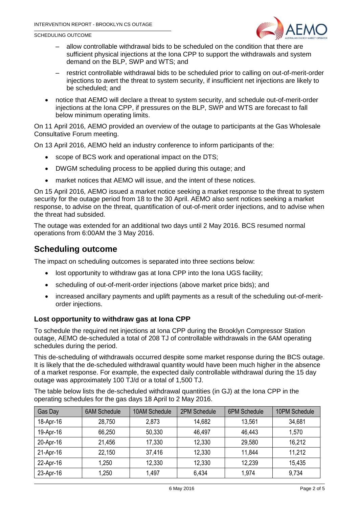SCHEDULING OUTCOME



- allow controllable withdrawal bids to be scheduled on the condition that there are sufficient physical injections at the Iona CPP to support the withdrawals and system demand on the BLP, SWP and WTS; and
- restrict controllable withdrawal bids to be scheduled prior to calling on out-of-merit-order injections to avert the threat to system security, if insufficient net injections are likely to be scheduled; and
- notice that AEMO will declare a threat to system security, and schedule out-of-merit-order injections at the Iona CPP, if pressures on the BLP, SWP and WTS are forecast to fall below minimum operating limits.

On 11 April 2016, AEMO provided an overview of the outage to participants at the Gas Wholesale Consultative Forum meeting.

On 13 April 2016, AEMO held an industry conference to inform participants of the:

- scope of BCS work and operational impact on the DTS;
- DWGM scheduling process to be applied during this outage; and
- market notices that AEMO will issue, and the intent of these notices.

On 15 April 2016, AEMO issued a market notice seeking a market response to the threat to system security for the outage period from 18 to the 30 April. AEMO also sent notices seeking a market response, to advise on the threat, quantification of out-of-merit order injections, and to advise when the threat had subsided.

The outage was extended for an additional two days until 2 May 2016. BCS resumed normal operations from 6:00AM the 3 May 2016.

# **Scheduling outcome**

The impact on scheduling outcomes is separated into three sections below:

- lost opportunity to withdraw gas at Iona CPP into the Iona UGS facility;
- scheduling of out-of-merit-order injections (above market price bids); and
- increased ancillary payments and uplift payments as a result of the scheduling out-of-meritorder injections.

#### **Lost opportunity to withdraw gas at Iona CPP**

To schedule the required net injections at Iona CPP during the Brooklyn Compressor Station outage, AEMO de-scheduled a total of 208 TJ of controllable withdrawals in the 6AM operating schedules during the period.

This de-scheduling of withdrawals occurred despite some market response during the BCS outage. It is likely that the de-scheduled withdrawal quantity would have been much higher in the absence of a market response. For example, the expected daily controllable withdrawal during the 15 day outage was approximately 100 TJ/d or a total of 1,500 TJ.

The table below lists the de-scheduled withdrawal quantities (in GJ) at the Iona CPP in the operating schedules for the gas days 18 April to 2 May 2016.

| Gas Day   | <b>6AM Schedule</b> | 10AM Schedule | 2PM Schedule | <b>6PM Schedule</b> | 10PM Schedule |
|-----------|---------------------|---------------|--------------|---------------------|---------------|
| 18-Apr-16 | 28,750              | 2,873         | 14,682       | 13,561              | 34,681        |
| 19-Apr-16 | 66,250              | 50,330        | 46,497       | 46,443              | 1,570         |
| 20-Apr-16 | 21,456              | 17,330        | 12,330       | 29,580              | 16,212        |
| 21-Apr-16 | 22,150              | 37,416        | 12,330       | 11,844              | 11,212        |
| 22-Apr-16 | 1,250               | 12,330        | 12,330       | 12,239              | 15,435        |
| 23-Apr-16 | 1,250               | 1,497         | 6,434        | 1,974               | 9,734         |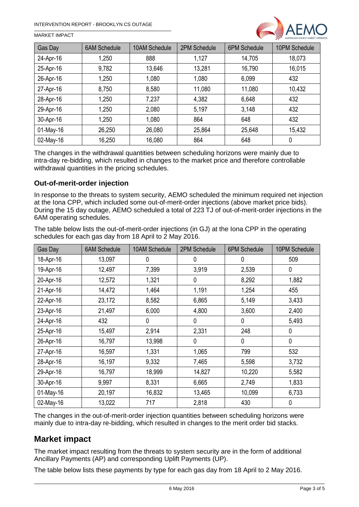

#### MARKET IMPACT

| Gas Day      | <b>6AM Schedule</b> | 10AM Schedule | 2PM Schedule | 6PM Schedule | 10PM Schedule |
|--------------|---------------------|---------------|--------------|--------------|---------------|
| 24-Apr-16    | 1,250               | 888           | 1,127        | 14,705       | 18,073        |
| 25-Apr-16    | 9,782               | 13,646        | 13,281       | 16,790       | 16,015        |
| 26-Apr-16    | 1,250               | 1,080         | 1,080        | 6,099        | 432           |
| 27-Apr-16    | 8,750               | 8,580         | 11,080       | 11,080       | 10,432        |
| 28-Apr-16    | 1,250               | 7,237         | 4,382        | 6,648        | 432           |
| 29-Apr-16    | 1,250               | 2,080         | 5,197        | 3,148        | 432           |
| 30-Apr-16    | 1,250               | 1,080         | 864          | 648          | 432           |
| $01$ -May-16 | 26,250              | 26,080        | 25,864       | 25,648       | 15,432        |
| 02-May-16    | 16,250              | 16,080        | 864          | 648          | 0             |

The changes in the withdrawal quantities between scheduling horizons were mainly due to intra-day re-bidding, which resulted in changes to the market price and therefore controllable withdrawal quantities in the pricing schedules.

#### **Out-of-merit-order injection**

In response to the threats to system security, AEMO scheduled the minimum required net injection at the Iona CPP, which included some out-of-merit-order injections (above market price bids). During the 15 day outage, AEMO scheduled a total of 223 TJ of out-of-merit-order injections in the 6AM operating schedules.

The table below lists the out-of-merit-order injections (in GJ) at the Iona CPP in the operating schedules for each gas day from 18 April to 2 May 2016.

| Gas Day   | <b>6AM Schedule</b> | 10AM Schedule | 2PM Schedule | <b>6PM Schedule</b> | 10PM Schedule |
|-----------|---------------------|---------------|--------------|---------------------|---------------|
| 18-Apr-16 | 13,097              | 0             | 0            | 0                   | 509           |
| 19-Apr-16 | 12,497              | 7,399         | 3,919        | 2,539               | 0             |
| 20-Apr-16 | 12,572              | 1,321         | 0            | 8,292               | 1,882         |
| 21-Apr-16 | 14,472              | 1,464         | 1,191        | 1,254               | 455           |
| 22-Apr-16 | 23,172              | 8,582         | 6,865        | 5,149               | 3,433         |
| 23-Apr-16 | 21,497              | 6,000         | 4,800        | 3,600               | 2,400         |
| 24-Apr-16 | 432                 | 0             | 0            | $\mathbf 0$         | 5,493         |
| 25-Apr-16 | 15,497              | 2,914         | 2,331        | 248                 | 0             |
| 26-Apr-16 | 16,797              | 13,998        | 0            | $\mathbf 0$         | 0             |
| 27-Apr-16 | 16,597              | 1,331         | 1,065        | 799                 | 532           |
| 28-Apr-16 | 16,197              | 9,332         | 7,465        | 5,598               | 3,732         |
| 29-Apr-16 | 16,797              | 18,999        | 14,827       | 10,220              | 5,582         |
| 30-Apr-16 | 9,997               | 8,331         | 6,665        | 2,749               | 1,833         |
| 01-May-16 | 20,197              | 16,832        | 13,465       | 10,099              | 6,733         |
| 02-May-16 | 13,022              | 717           | 2,818        | 430                 | 0             |

The changes in the out-of-merit-order injection quantities between scheduling horizons were mainly due to intra-day re-bidding, which resulted in changes to the merit order bid stacks.

### **Market impact**

The market impact resulting from the threats to system security are in the form of additional Ancillary Payments (AP) and corresponding Uplift Payments (UP).

The table below lists these payments by type for each gas day from 18 April to 2 May 2016.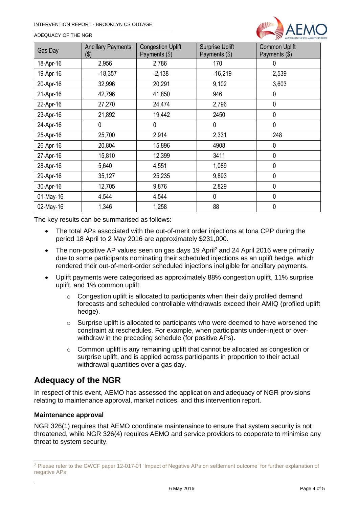

|  | ADEQUACY OF THE NGR |  |  |  |
|--|---------------------|--|--|--|
|--|---------------------|--|--|--|

| Gas Day   | <b>Ancillary Payments</b><br>(\$) | <b>Congestion Uplift</b><br>Payments (\$) | <b>Surprise Uplift</b><br>Payments (\$) | <b>Common Uplift</b><br>Payments (\$) |
|-----------|-----------------------------------|-------------------------------------------|-----------------------------------------|---------------------------------------|
| 18-Apr-16 | 2,956                             | 2,786                                     | 170                                     | 0                                     |
| 19-Apr-16 | $-18,357$                         | $-2,138$                                  | $-16,219$                               | 2,539                                 |
| 20-Apr-16 | 32,996                            | 20,291                                    | 9,102                                   | 3,603                                 |
| 21-Apr-16 | 42,796                            | 41,850                                    | 946                                     | 0                                     |
| 22-Apr-16 | 27,270                            | 24,474                                    | 2,796                                   | 0                                     |
| 23-Apr-16 | 21,892                            | 19,442                                    | 2450                                    | $\mathbf 0$                           |
| 24-Apr-16 | 0                                 | 0                                         | 0                                       | $\mathbf 0$                           |
| 25-Apr-16 | 25,700                            | 2,914                                     | 2,331                                   | 248                                   |
| 26-Apr-16 | 20,804                            | 15,896                                    | 4908                                    | 0                                     |
| 27-Apr-16 | 15,810                            | 12,399                                    | 3411                                    | $\mathbf 0$                           |
| 28-Apr-16 | 5,640                             | 4,551                                     | 1,089                                   | $\mathbf 0$                           |
| 29-Apr-16 | 35,127                            | 25,235                                    | 9,893                                   | 0                                     |
| 30-Apr-16 | 12,705                            | 9,876                                     | 2,829                                   | 0                                     |
| 01-May-16 | 4,544                             | 4,544                                     | 0                                       | 0                                     |
| 02-May-16 | 1,346                             | 1,258                                     | 88                                      | 0                                     |

The key results can be summarised as follows:

- The total APs associated with the out-of-merit order injections at Iona CPP during the period 18 April to 2 May 2016 are approximately \$231,000.
- The non-positive AP values seen on gas days 19 April<sup>2</sup> and 24 April 2016 were primarily due to some participants nominating their scheduled injections as an uplift hedge, which rendered their out-of-merit-order scheduled injections ineligible for ancillary payments.
- Uplift payments were categorised as approximately 88% congestion uplift, 11% surprise uplift, and 1% common uplift.
	- $\circ$  Congestion uplift is allocated to participants when their daily profiled demand forecasts and scheduled controllable withdrawals exceed their AMIQ (profiled uplift hedge).
	- $\circ$  Surprise uplift is allocated to participants who were deemed to have worsened the constraint at reschedules. For example, when participants under-inject or overwithdraw in the preceding schedule (for positive APs).
	- o Common uplift is any remaining uplift that cannot be allocated as congestion or surprise uplift, and is applied across participants in proportion to their actual withdrawal quantities over a gas day.

# **Adequacy of the NGR**

In respect of this event, AEMO has assessed the application and adequacy of NGR provisions relating to maintenance approval, market notices, and this intervention report.

#### **Maintenance approval**

-

NGR 326(1) requires that AEMO coordinate maintenaince to ensure that system security is not threatened, while NGR 326(4) requires AEMO and service providers to cooperate to minimise any threat to system security.

<sup>2</sup> Please refer to the GWCF paper 12-017-01 'Impact of Negative APs on settlement outcome' for further explanation of negative APs